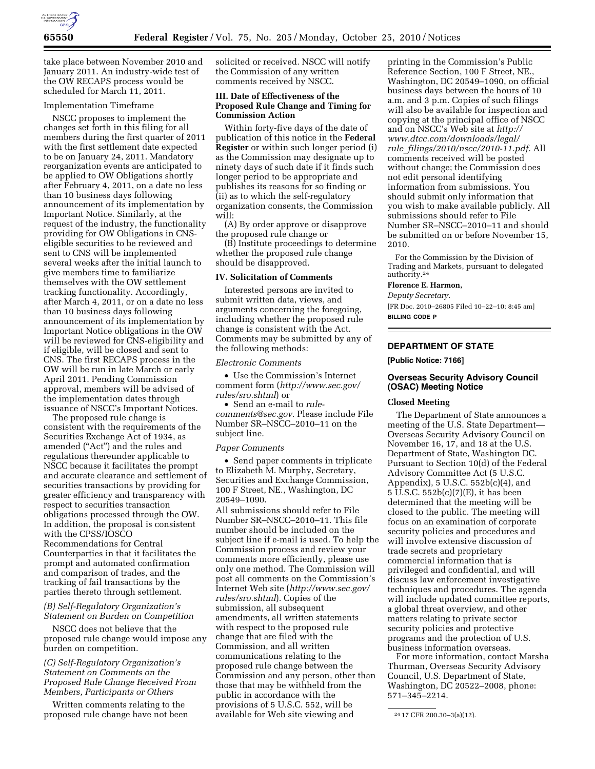

take place between November 2010 and January 2011. An industry-wide test of the OW RECAPS process would be scheduled for March 11, 2011.

#### Implementation Timeframe

NSCC proposes to implement the changes set forth in this filing for all members during the first quarter of 2011 with the first settlement date expected to be on January 24, 2011. Mandatory reorganization events are anticipated to be applied to OW Obligations shortly after February 4, 2011, on a date no less than 10 business days following announcement of its implementation by Important Notice. Similarly, at the request of the industry, the functionality providing for OW Obligations in CNSeligible securities to be reviewed and sent to CNS will be implemented several weeks after the initial launch to give members time to familiarize themselves with the OW settlement tracking functionality. Accordingly, after March 4, 2011, or on a date no less than 10 business days following announcement of its implementation by Important Notice obligations in the OW will be reviewed for CNS-eligibility and if eligible, will be closed and sent to CNS. The first RECAPS process in the OW will be run in late March or early April 2011. Pending Commission approval, members will be advised of the implementation dates through issuance of NSCC's Important Notices.

The proposed rule change is consistent with the requirements of the Securities Exchange Act of 1934, as amended (''Act'') and the rules and regulations thereunder applicable to NSCC because it facilitates the prompt and accurate clearance and settlement of securities transactions by providing for greater efficiency and transparency with respect to securities transaction obligations processed through the OW. In addition, the proposal is consistent with the CPSS/IOSCO Recommendations for Central Counterparties in that it facilitates the prompt and automated confirmation and comparison of trades, and the tracking of fail transactions by the parties thereto through settlement.

# *(B) Self-Regulatory Organization's Statement on Burden on Competition*

NSCC does not believe that the proposed rule change would impose any burden on competition.

## *(C) Self-Regulatory Organization's Statement on Comments on the Proposed Rule Change Received From Members, Participants or Others*

Written comments relating to the proposed rule change have not been solicited or received. NSCC will notify the Commission of any written comments received by NSCC.

## **III. Date of Effectiveness of the Proposed Rule Change and Timing for Commission Action**

Within forty-five days of the date of publication of this notice in the **Federal Register** or within such longer period (i) as the Commission may designate up to ninety days of such date if it finds such longer period to be appropriate and publishes its reasons for so finding or (ii) as to which the self-regulatory organization consents, the Commission will:

(A) By order approve or disapprove the proposed rule change or

(B) Institute proceedings to determine whether the proposed rule change should be disapproved.

#### **IV. Solicitation of Comments**

Interested persons are invited to submit written data, views, and arguments concerning the foregoing, including whether the proposed rule change is consistent with the Act. Comments may be submitted by any of the following methods:

#### *Electronic Comments*

• Use the Commission's Internet comment form (*[http://www.sec.gov/](http://www.sec.gov/rules/sro.shtml)  [rules/sro.shtml](http://www.sec.gov/rules/sro.shtml)*) or

• Send an e-mail to *[rule](mailto:rule-comments@sec.gov)[comments@sec.gov](mailto:rule-comments@sec.gov)*. Please include File Number SR–NSCC–2010–11 on the subject line.

#### *Paper Comments*

• Send paper comments in triplicate to Elizabeth M. Murphy, Secretary, Securities and Exchange Commission, 100 F Street, NE., Washington, DC 20549–1090.

All submissions should refer to File Number SR–NSCC–2010–11. This file number should be included on the subject line if e-mail is used. To help the Commission process and review your comments more efficiently, please use only one method. The Commission will post all comments on the Commission's Internet Web site (*[http://www.sec.gov/](http://www.sec.gov/rules/sro.shtml)  [rules/sro.shtml](http://www.sec.gov/rules/sro.shtml)*). Copies of the submission, all subsequent amendments, all written statements with respect to the proposed rule change that are filed with the Commission, and all written communications relating to the proposed rule change between the Commission and any person, other than those that may be withheld from the public in accordance with the provisions of 5 U.S.C. 552, will be available for Web site viewing and

printing in the Commission's Public Reference Section, 100 F Street, NE., Washington, DC 20549–1090, on official business days between the hours of 10 a.m. and 3 p.m. Copies of such filings will also be available for inspection and copying at the principal office of NSCC and on NSCC's Web site at *[http://](http://www.dtcc.com/downloads/legal/rule_filings/2010/nscc/2010-11.pdf)  [www.dtcc.com/downloads/legal/](http://www.dtcc.com/downloads/legal/rule_filings/2010/nscc/2010-11.pdf)  rule*\_*[filings/2010/nscc/2010-11.pdf.](http://www.dtcc.com/downloads/legal/rule_filings/2010/nscc/2010-11.pdf)* All comments received will be posted without change; the Commission does not edit personal identifying information from submissions. You should submit only information that you wish to make available publicly. All submissions should refer to File Number SR–NSCC–2010–11 and should be submitted on or before November 15, 2010.

For the Commission by the Division of Trading and Markets, pursuant to delegated authority.24

## **Florence E. Harmon,**

*Deputy Secretary.* 

[FR Doc. 2010–26805 Filed 10–22–10; 8:45 am] **BILLING CODE P** 

# **DEPARTMENT OF STATE**

#### **[Public Notice: 7166]**

# **Overseas Security Advisory Council (OSAC) Meeting Notice**

### **Closed Meeting**

The Department of State announces a meeting of the U.S. State Department— Overseas Security Advisory Council on November 16, 17, and 18 at the U.S. Department of State, Washington DC. Pursuant to Section 10(d) of the Federal Advisory Committee Act (5 U.S.C. Appendix), 5 U.S.C. 552b(c)(4), and 5 U.S.C. 552b(c)(7)(E), it has been determined that the meeting will be closed to the public. The meeting will focus on an examination of corporate security policies and procedures and will involve extensive discussion of trade secrets and proprietary commercial information that is privileged and confidential, and will discuss law enforcement investigative techniques and procedures. The agenda will include updated committee reports, a global threat overview, and other matters relating to private sector security policies and protective programs and the protection of U.S. business information overseas.

For more information, contact Marsha Thurman, Overseas Security Advisory Council, U.S. Department of State, Washington, DC 20522–2008, phone: 571–345–2214.

<sup>24</sup> 17 CFR 200.30–3(a)(12).